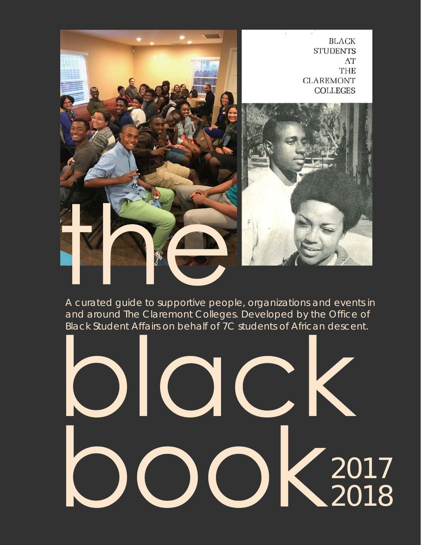

*A curated guide to supportive people, organizations and events in and around The Claremont Colleges. Developed by the Office of Black Student Affairs on behalf of 7C students of African descent.* 

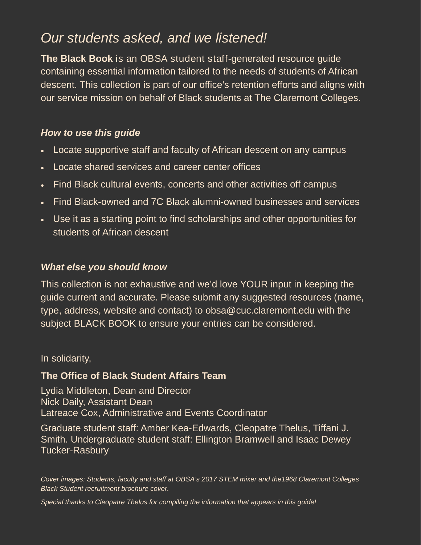#### *Our students asked, and we listened!*

**The Black Book** is an OBSA student staff-generated resource guide containing essential information tailored to the needs of students of African descent. This collection is part of our office's retention efforts and aligns with our service mission on behalf of Black students at The Claremont Colleges.

#### *How to use this guide*

- Locate supportive staff and faculty of African descent on any campus
- Locate shared services and career center offices
- Find Black cultural events, concerts and other activities off campus
- Find Black-owned and 7C Black alumni-owned businesses and services
- Use it as a starting point to find scholarships and other opportunities for students of African descent

#### *What else you should know*

This collection is not exhaustive and we'd love YOUR input in keeping the guide current and accurate. Please submit any suggested resources (name, type, address, website and contact) to obsa@cuc.claremont.edu with the subject BLACK BOOK to ensure your entries can be considered.

#### In solidarity,

#### **The Office of Black Student Affairs Team**

Lydia Middleton, Dean and Director Nick Daily, Assistant Dean Latreace Cox, Administrative and Events Coordinator

Graduate student staff: Amber Kea-Edwards, Cleopatre Thelus, Tiffani J. Smith. Undergraduate student staff: Ellington Bramwell and Isaac Dewey Tucker-Rasbury

*Cover images: Students, faculty and staff at OBSA's 2017 STEM mixer and the1968 Claremont Colleges Black Student recruitment brochure cover.* 

*Special thanks to Cleopatre Thelus for compiling the information that appears in this guide!*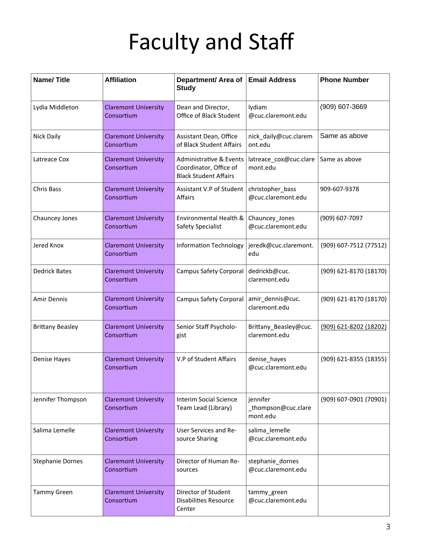| <b>Name/Title</b>       | <b>Affiliation</b>                        | Department/ Area of<br><b>Study</b>                                                          | <b>Email Address</b>                        | <b>Phone Number</b>    |
|-------------------------|-------------------------------------------|----------------------------------------------------------------------------------------------|---------------------------------------------|------------------------|
| Lydia Middleton         | <b>Claremont University</b><br>Consortium | Dean and Director,<br>Office of Black Student                                                | lydiam<br>@cuc.claremont.edu                | (909) 607-3669         |
| <b>Nick Daily</b>       | <b>Claremont University</b><br>Consortium | Assistant Dean, Office<br>of Black Student Affairs                                           | nick_daily@cuc.clarem<br>ont.edu            | Same as above          |
| Latreace Cox            | <b>Claremont University</b><br>Consortium | <b>Administrative &amp; Events</b><br>Coordinator, Office of<br><b>Black Student Affairs</b> | latreace_cox@cuc.clare<br>mont.edu          | Same as above          |
| Chris Bass              | <b>Claremont University</b><br>Consortium | Assistant V.P of Student<br>Affairs                                                          | christopher_bass<br>@cuc.claremont.edu      | 909-607-9378           |
| Chauncey Jones          | <b>Claremont University</b><br>Consortium | Environmental Health &<br>Safety Specialist                                                  | Chauncey_Jones<br>@cuc.claremont.edu        | (909) 607-7097         |
| Jered Knox              | <b>Claremont University</b><br>Consortium | <b>Information Technology</b>                                                                | jeredk@cuc.claremont.<br>edu                | (909) 607-7512 (77512) |
| <b>Dedrick Bates</b>    | <b>Claremont University</b><br>Consortium | <b>Campus Safety Corporal</b>                                                                | dedrickb@cuc.<br>claremont.edu              | (909) 621-8170 (18170) |
| Amir Dennis             | <b>Claremont University</b><br>Consortium | Campus Safety Corporal   amir_dennis@cuc.                                                    | claremont.edu                               | (909) 621-8170 (18170) |
| <b>Brittany Beasley</b> | <b>Claremont University</b><br>Consortium | Senior Staff Psycholo-<br>gist                                                               | Brittany_Beasley@cuc.<br>claremont.edu      | (909) 621-8202 (18202) |
| Denise Hayes            | <b>Claremont University</b><br>Consortium | V.P of Student Affairs                                                                       | denise_hayes<br>@cuc.claremont.edu          | (909) 621-8355 (18355) |
| Jennifer Thompson       | <b>Claremont University</b><br>Consortium | Interim Social Science<br>Team Lead (Library)                                                | jennifer<br>_thompson@cuc.clare<br>mont.edu | (909) 607-0901 (70901) |
| Salima Lemelle          | <b>Claremont University</b><br>Consortium | User Services and Re-<br>source Sharing                                                      | salima_lemelle<br>@cuc.claremont.edu        |                        |
| <b>Stephanie Dornes</b> | <b>Claremont University</b><br>Consortium | Director of Human Re-<br>sources                                                             | stephanie dornes<br>@cuc.claremont.edu      |                        |
| <b>Tammy Green</b>      | <b>Claremont University</b><br>Consortium | Director of Student<br><b>Disabilities Resource</b><br>Center                                | tammy_green<br>@cuc.claremont.edu           |                        |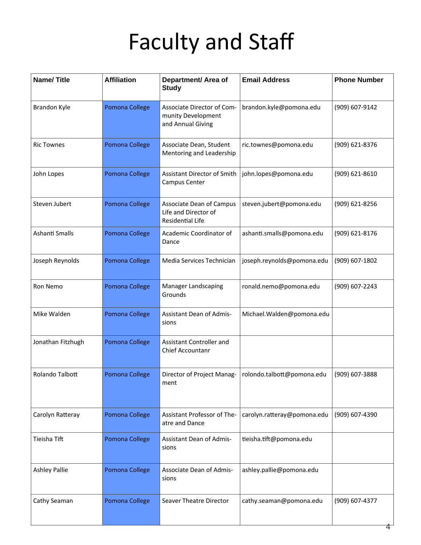| <b>Name/Title</b>    | <b>Affiliation</b> | Department/ Area of<br><b>Study</b>                                         | <b>Email Address</b>                       | <b>Phone Number</b> |
|----------------------|--------------------|-----------------------------------------------------------------------------|--------------------------------------------|---------------------|
| Brandon Kyle         | Pomona College     | Associate Director of Com-<br>munity Development<br>and Annual Giving       | brandon.kyle@pomona.edu                    | (909) 607-9142      |
| <b>Ric Townes</b>    | Pomona College     | Associate Dean, Student<br>Mentoring and Leadership                         | ric.townes@pomona.edu                      | (909) 621-8376      |
| John Lopes           | Pomona College     | Assistant Director of Smith<br>Campus Center                                | john.lopes@pomona.edu                      | (909) 621-8610      |
| Steven Jubert        | Pomona College     | Associate Dean of Campus<br>Life and Director of<br><b>Residential Life</b> | steven.jubert@pomona.edu<br>(909) 621-8256 |                     |
| Ashanti Smalls       | Pomona College     | Academic Coordinator of<br>Dance                                            | ashanti.smalls@pomona.edu                  | (909) 621-8176      |
| Joseph Reynolds      | Pomona College     | Media Services Technician                                                   | joseph.reynolds@pomona.edu                 | (909) 607-1802      |
| Ron Nemo             | Pomona College     | Manager Landscaping<br>Grounds                                              | ronald.nemo@pomona.edu                     | (909) 607-2243      |
| Mike Walden          | Pomona College     | Assistant Dean of Admis-<br>sions                                           | Michael. Walden@pomona.edu                 |                     |
| Jonathan Fitzhugh    | Pomona College     | Assistant Controller and<br>Chief Accountanr                                |                                            |                     |
| Rolando Talbott      | Pomona College     | Director of Project Manag-<br>ment                                          | rolondo.talbott@pomona.edu                 | (909) 607-3888      |
| Carolyn Ratteray     | Pomona College     | Assistant Professor of The-<br>atre and Dance                               | carolyn.ratteray@pomona.edu                | (909) 607-4390      |
| Tieisha Tift         | Pomona College     | <b>Assistant Dean of Admis-</b><br>sions                                    | tieisha.tift@pomona.edu                    |                     |
| <b>Ashley Pallie</b> | Pomona College     | Associate Dean of Admis-<br>sions                                           | ashley.pallie@pomona.edu                   |                     |
| Cathy Seaman         | Pomona College     | Seaver Theatre Director                                                     | cathy.seaman@pomona.edu                    | (909) 607-4377<br>4 |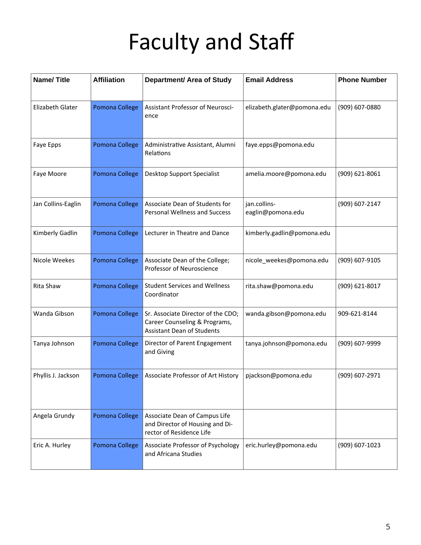| <b>Name/Title</b>  | <b>Affiliation</b> | <b>Department/ Area of Study</b>                                                                         | <b>Email Address</b>                          | <b>Phone Number</b> |
|--------------------|--------------------|----------------------------------------------------------------------------------------------------------|-----------------------------------------------|---------------------|
| Elizabeth Glater   | Pomona College     | Assistant Professor of Neurosci-<br>ence                                                                 | elizabeth.glater@pomona.edu<br>(909) 607-0880 |                     |
| Faye Epps          | Pomona College     | Administrative Assistant, Alumni<br>faye.epps@pomona.edu<br>Relations                                    |                                               |                     |
| Faye Moore         | Pomona College     | Desktop Support Specialist<br>amelia.moore@pomona.edu                                                    |                                               | (909) 621-8061      |
| Jan Collins-Eaglin | Pomona College     | Associate Dean of Students for<br><b>Personal Wellness and Success</b>                                   | jan.collins-<br>eaglin@pomona.edu             | (909) 607-2147      |
| Kimberly Gadlin    | Pomona College     | Lecturer in Theatre and Dance                                                                            | kimberly.gadlin@pomona.edu                    |                     |
| Nicole Weekes      | Pomona College     | Associate Dean of the College;<br>Professor of Neuroscience                                              | nicole_weekes@pomona.edu                      | (909) 607-9105      |
| Rita Shaw          | Pomona College     | <b>Student Services and Wellness</b><br>Coordinator                                                      | rita.shaw@pomona.edu                          | (909) 621-8017      |
| Wanda Gibson       | Pomona College     | Sr. Associate Director of the CDO;<br>Career Counseling & Programs,<br><b>Assistant Dean of Students</b> | wanda.gibson@pomona.edu                       | 909-621-8144        |
| Tanya Johnson      | Pomona College     | Director of Parent Engagement<br>and Giving                                                              | tanya.johnson@pomona.edu                      | (909) 607-9999      |
| Phyllis J. Jackson | Pomona College     | Associate Professor of Art History                                                                       | pjackson@pomona.edu                           | (909) 607-2971      |
| Angela Grundy      | Pomona College     | Associate Dean of Campus Life<br>and Director of Housing and Di-<br>rector of Residence Life             |                                               |                     |
| Eric A. Hurley     | Pomona College     | Associate Professor of Psychology<br>and Africana Studies                                                | eric.hurley@pomona.edu                        | (909) 607-1023      |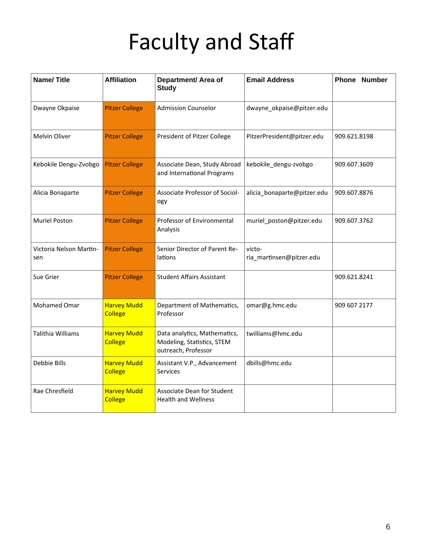| <b>Name/Title</b>              | <b>Affiliation</b>                   | Department/ Area of<br><b>Study</b>                                               | <b>Email Address</b><br><b>Phone Number</b> |              |
|--------------------------------|--------------------------------------|-----------------------------------------------------------------------------------|---------------------------------------------|--------------|
| Dwayne Okpaise                 | <b>Pitzer College</b>                | <b>Admission Counselor</b>                                                        | dwayne_okpaise@pitzer.edu                   |              |
| Melvin Oliver                  | <b>Pitzer College</b>                | President of Pitzer College                                                       | 909.621.8198<br>PitzerPresident@pitzer.edu  |              |
| Kebokile Dengu-Zvobgo          | <b>Pitzer College</b>                | Associate Dean, Study Abroad<br>and International Programs                        | 909.607.3609<br>kebokile_dengu-zvobgo       |              |
| Alicia Bonaparte               | <b>Pitzer College</b>                | Associate Professor of Sociol-<br>ogy                                             | 909.607.8876<br>alicia_bonaparte@pitzer.edu |              |
| <b>Muriel Poston</b>           | <b>Pitzer College</b>                | Professor of Environmental<br>Analysis                                            | muriel_poston@pitzer.edu                    | 909.607.3762 |
| Victoria Nelson Martin-<br>sen | <b>Pitzer College</b>                | Senior Director of Parent Re-<br>lations                                          | victo-<br>ria_martinsen@pitzer.edu          |              |
| Sue Grier                      | <b>Pitzer College</b>                | <b>Student Affairs Assistant</b>                                                  | 909.621.8241                                |              |
| Mohamed Omar                   | <b>Harvey Mudd</b><br><b>College</b> | Department of Mathematics,<br>Professor                                           | 909 607 2177<br>omar@g.hmc.edu              |              |
| Talithia Williams              | <b>Harvey Mudd</b><br><b>College</b> | Data analytics, Mathematics,<br>Modeling, Statistics, STEM<br>outreach, Professor | twilliams@hmc.edu                           |              |
| Debbie Bills                   | <b>Harvey Mudd</b><br><b>College</b> | Assistant V.P., Advancement<br><b>Services</b>                                    | dbills@hmc.edu                              |              |
| Rae Chresfield                 | <b>Harvey Mudd</b><br><b>College</b> | Associate Dean for Student<br><b>Health and Wellness</b>                          |                                             |              |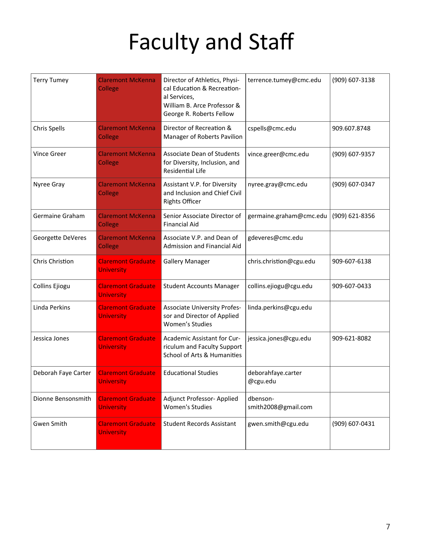| <b>Terry Tumey</b>  | <b>Claremont McKenna</b><br><b>College</b>     | Director of Athletics, Physi-<br>terrence.tumey@cmc.edu<br>cal Education & Recreation-<br>al Services,<br>William B. Arce Professor &<br>George R. Roberts Fellow |                                 |                |  | (909) 607-3138 |  |  |
|---------------------|------------------------------------------------|-------------------------------------------------------------------------------------------------------------------------------------------------------------------|---------------------------------|----------------|--|----------------|--|--|
| <b>Chris Spells</b> | <b>Claremont McKenna</b><br>College            | Director of Recreation &<br>Manager of Roberts Pavilion                                                                                                           | cspells@cmc.edu                 | 909.607.8748   |  |                |  |  |
| <b>Vince Greer</b>  | <b>Claremont McKenna</b><br><b>College</b>     | <b>Associate Dean of Students</b><br>for Diversity, Inclusion, and<br>Residential Life                                                                            | vince.greer@cmc.edu             | (909) 607-9357 |  |                |  |  |
| Nyree Gray          | <b>Claremont McKenna</b><br>College            | Assistant V.P. for Diversity<br>nyree.gray@cmc.edu<br>and Inclusion and Chief Civil<br><b>Rights Officer</b>                                                      |                                 | (909) 607-0347 |  |                |  |  |
| Germaine Graham     | <b>Claremont McKenna</b><br><b>College</b>     | Senior Associate Director of<br>germaine.graham@cmc.edu<br><b>Financial Aid</b>                                                                                   |                                 | (909) 621-8356 |  |                |  |  |
| Georgette DeVeres   | <b>Claremont McKenna</b><br>College            | Associate V.P. and Dean of<br>Admission and Financial Aid                                                                                                         | gdeveres@cmc.edu                |                |  |                |  |  |
| Chris Christion     | <b>Claremont Graduate</b><br><b>University</b> | <b>Gallery Manager</b>                                                                                                                                            | chris.christion@cgu.edu         | 909-607-6138   |  |                |  |  |
| Collins Ejiogu      | <b>Claremont Graduate</b><br><b>University</b> | <b>Student Accounts Manager</b>                                                                                                                                   | collins.ejiogu@cgu.edu          | 909-607-0433   |  |                |  |  |
| Linda Perkins       | <b>Claremont Graduate</b><br><b>University</b> | <b>Associate University Profes-</b><br>sor and Director of Applied<br>Women's Studies                                                                             | linda.perkins@cgu.edu           |                |  |                |  |  |
| Jessica Jones       | <b>Claremont Graduate</b><br><b>University</b> | Academic Assistant for Cur-<br>riculum and Faculty Support<br>School of Arts & Humanities                                                                         | jessica.jones@cgu.edu           | 909-621-8082   |  |                |  |  |
| Deborah Faye Carter | <b>Claremont Graduate</b><br><b>University</b> | <b>Educational Studies</b>                                                                                                                                        | deborahfaye.carter<br>@cgu.edu  |                |  |                |  |  |
| Dionne Bensonsmith  | <b>Claremont Graduate</b><br><b>University</b> | Adjunct Professor- Applied<br>Women's Studies                                                                                                                     | dbenson-<br>smith2008@gmail.com |                |  |                |  |  |
| Gwen Smith          | <b>Claremont Graduate</b><br><b>University</b> | <b>Student Records Assistant</b>                                                                                                                                  | gwen.smith@cgu.edu              | (909) 607-0431 |  |                |  |  |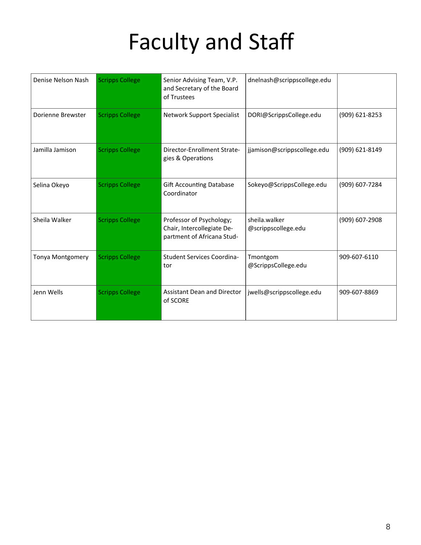| Denise Nelson Nash      | <b>Scripps College</b> | Senior Advising Team, V.P.<br>and Secretary of the Board<br>of Trustees              | dnelnash@scrippscollege.edu          |                |
|-------------------------|------------------------|--------------------------------------------------------------------------------------|--------------------------------------|----------------|
| Dorienne Brewster       | <b>Scripps College</b> | Network Support Specialist                                                           | DORI@ScrippsCollege.edu              | (909) 621-8253 |
| Jamilla Jamison         | <b>Scripps College</b> | Director-Enrollment Strate-<br>gies & Operations                                     | jjamison@scrippscollege.edu          | (909) 621-8149 |
| Selina Okeyo            | <b>Scripps College</b> | <b>Gift Accounting Database</b><br>Coordinator                                       | Sokeyo@ScrippsCollege.edu            | (909) 607-7284 |
| Sheila Walker           | <b>Scripps College</b> | Professor of Psychology;<br>Chair, Intercollegiate De-<br>partment of Africana Stud- | sheila.walker<br>@scrippscollege.edu | (909) 607-2908 |
| <b>Tonya Montgomery</b> | <b>Scripps College</b> | <b>Student Services Coordina-</b><br>tor                                             | Tmontgom<br>@ScrippsCollege.edu      | 909-607-6110   |
| Jenn Wells              | <b>Scripps College</b> | <b>Assistant Dean and Director</b><br>of SCORE                                       | jwells@scrippscollege.edu            | 909-607-8869   |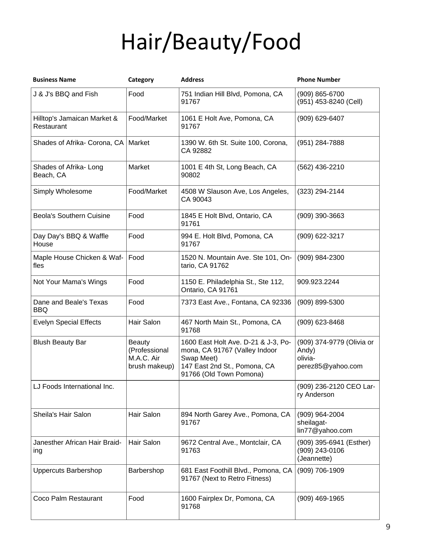# Hair/Beauty/Food

| <b>Business Name</b>                      | Category                                                      | <b>Address</b>                                                                                                                                | <b>Phone Number</b>                                                |
|-------------------------------------------|---------------------------------------------------------------|-----------------------------------------------------------------------------------------------------------------------------------------------|--------------------------------------------------------------------|
| J & J's BBQ and Fish                      | Food                                                          | 751 Indian Hill Blvd, Pomona, CA<br>91767                                                                                                     | (909) 865-6700<br>(951) 453-8240 (Cell)                            |
| Hilltop's Jamaican Market &<br>Restaurant | Food/Market                                                   | 1061 E Holt Ave, Pomona, CA<br>91767                                                                                                          | (909) 629-6407                                                     |
| Shades of Afrika- Corona, CA   Market     |                                                               | 1390 W. 6th St. Suite 100, Corona,<br>CA 92882                                                                                                | (951) 284-7888                                                     |
| Shades of Afrika-Long<br>Beach, CA        | Market                                                        | 1001 E 4th St, Long Beach, CA<br>90802                                                                                                        | (562) 436-2210                                                     |
| Simply Wholesome                          | Food/Market                                                   | 4508 W Slauson Ave, Los Angeles,<br>CA 90043                                                                                                  | (323) 294-2144                                                     |
| <b>Beola's Southern Cuisine</b>           | Food                                                          | 1845 E Holt Blvd, Ontario, CA<br>91761                                                                                                        | (909) 390-3663                                                     |
| Day Day's BBQ & Waffle<br>House           | Food                                                          | 994 E. Holt Blvd, Pomona, CA<br>91767                                                                                                         | (909) 622-3217                                                     |
| Maple House Chicken & Waf-<br>fles        | Food                                                          | 1520 N. Mountain Ave. Ste 101, On-<br>tario, CA 91762                                                                                         | (909) 984-2300                                                     |
| Not Your Mama's Wings                     | Food                                                          | 1150 E. Philadelphia St., Ste 112,<br>Ontario, CA 91761                                                                                       | 909.923.2244                                                       |
| Dane and Beale's Texas<br><b>BBQ</b>      | Food                                                          | 7373 East Ave., Fontana, CA 92336                                                                                                             | (909) 899-5300                                                     |
| <b>Evelyn Special Effects</b>             | Hair Salon                                                    | 467 North Main St., Pomona, CA<br>91768                                                                                                       | (909) 623-8468                                                     |
| <b>Blush Beauty Bar</b>                   | <b>Beauty</b><br>(Professional<br>M.A.C. Air<br>brush makeup) | 1600 East Holt Ave. D-21 & J-3, Po-<br>mona, CA 91767 (Valley Indoor<br>Swap Meet)<br>147 East 2nd St., Pomona, CA<br>91766 (Old Town Pomona) | (909) 374-9779 (Olivia or<br>Andy)<br>olivia-<br>perez85@yahoo.com |
| LJ Foods International Inc.               |                                                               |                                                                                                                                               | (909) 236-2120 CEO Lar-<br>ry Anderson                             |
| Sheila's Hair Salon                       | Hair Salon                                                    | 894 North Garey Ave., Pomona, CA<br>91767                                                                                                     | (909) 964-2004<br>sheilagat-<br>lin77@yahoo.com                    |
| Janesther African Hair Braid-<br>ing      | Hair Salon                                                    | 9672 Central Ave., Montclair, CA<br>91763                                                                                                     | (909) 395-6941 (Esther)<br>(909) 243-0106<br>(Jeannette)           |
| <b>Uppercuts Barbershop</b>               | Barbershop                                                    | 681 East Foothill Blvd., Pomona, CA<br>91767 (Next to Retro Fitness)                                                                          | (909) 706-1909                                                     |
| Coco Palm Restaurant                      | Food                                                          | 1600 Fairplex Dr, Pomona, CA<br>91768                                                                                                         | $(909)$ 469-1965                                                   |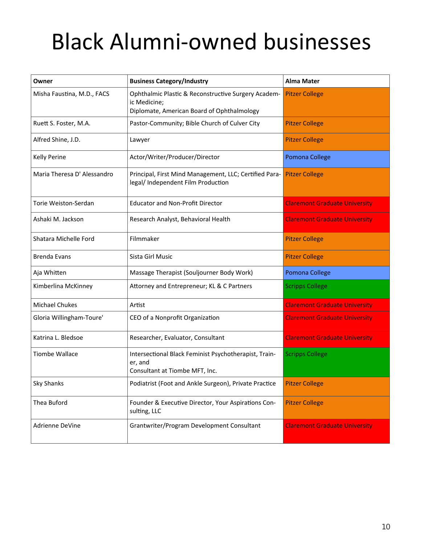### Black Alumni‐owned businesses

| Owner                       | <b>Business Category/Industry</b>                                                                                 | <b>Alma Mater</b>                    |
|-----------------------------|-------------------------------------------------------------------------------------------------------------------|--------------------------------------|
| Misha Faustina, M.D., FACS  | Ophthalmic Plastic & Reconstructive Surgery Academ-<br>ic Medicine;<br>Diplomate, American Board of Ophthalmology | <b>Pitzer College</b>                |
| Ruett S. Foster, M.A.       | Pastor-Community; Bible Church of Culver City                                                                     | <b>Pitzer College</b>                |
| Alfred Shine, J.D.          | Lawyer                                                                                                            | <b>Pitzer College</b>                |
| <b>Kelly Perine</b>         | Actor/Writer/Producer/Director                                                                                    | Pomona College                       |
| Maria Theresa D' Alessandro | Principal, First Mind Management, LLC; Certified Para-<br>legal/ Independent Film Production                      | <b>Pitzer College</b>                |
| Torie Weiston-Serdan        | <b>Educator and Non-Profit Director</b>                                                                           | <b>Claremont Graduate University</b> |
| Ashaki M. Jackson           | Research Analyst, Behavioral Health                                                                               | <b>Claremont Graduate University</b> |
| Shatara Michelle Ford       | Filmmaker                                                                                                         | <b>Pitzer College</b>                |
| <b>Brenda Evans</b>         | Sista Girl Music                                                                                                  | <b>Pitzer College</b>                |
| Aja Whitten                 | Massage Therapist (Souljourner Body Work)                                                                         | Pomona College                       |
| Kimberlina McKinney         | Attorney and Entrepreneur; KL & C Partners                                                                        | <b>Scripps College</b>               |
| <b>Michael Chukes</b>       | Artist                                                                                                            | <b>Claremont Graduate University</b> |
| Gloria Willingham-Toure'    | CEO of a Nonprofit Organization                                                                                   | <b>Claremont Graduate University</b> |
| Katrina L. Bledsoe          | Researcher, Evaluator, Consultant                                                                                 | <b>Claremont Graduate University</b> |
| <b>Tiombe Wallace</b>       | Intersectional Black Feminist Psychotherapist, Train-<br>er, and<br>Consultant at Tiombe MFT, Inc.                | <b>Scripps College</b>               |
| <b>Sky Shanks</b>           | Podiatrist (Foot and Ankle Surgeon), Private Practice                                                             | <b>Pitzer College</b>                |
| Thea Buford                 | Founder & Executive Director, Your Aspirations Con-<br>sulting, LLC                                               | <b>Pitzer College</b>                |
| Adrienne DeVine             | Grantwriter/Program Development Consultant                                                                        | <b>Claremont Graduate University</b> |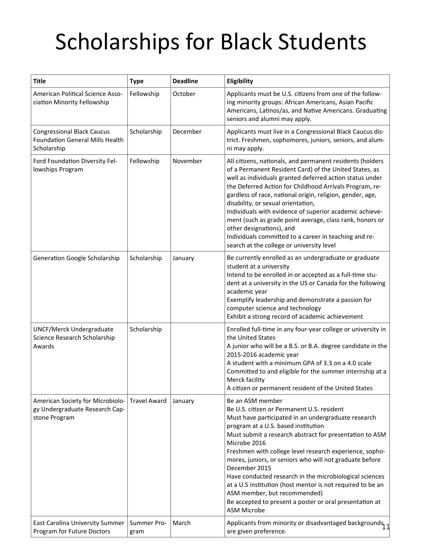| <b>Title</b>                                                                               | <b>Type</b>         | <b>Deadline</b> | Eligibility                                                                                                                                                                                                                                                                                                                                                                                                                                                                                                                                                                                                              |
|--------------------------------------------------------------------------------------------|---------------------|-----------------|--------------------------------------------------------------------------------------------------------------------------------------------------------------------------------------------------------------------------------------------------------------------------------------------------------------------------------------------------------------------------------------------------------------------------------------------------------------------------------------------------------------------------------------------------------------------------------------------------------------------------|
| American Political Science Asso-<br>ciation Minority Fellowship                            | Fellowship          | October         | Applicants must be U.S. citizens from one of the follow-<br>ing minority groups: African Americans, Asian Pacific<br>Americans, Latinos/as, and Native Americans. Graduating<br>seniors and alumni may apply.                                                                                                                                                                                                                                                                                                                                                                                                            |
| <b>Congressional Black Caucus</b><br><b>Foundation General Mills Health</b><br>Scholarship | Scholarship         | December        | Applicants must live in a Congressional Black Caucus dis-<br>trict. Freshmen, sophomores, juniors, seniors, and alum-<br>ni may apply.                                                                                                                                                                                                                                                                                                                                                                                                                                                                                   |
| Ford Foundation Diversity Fel-<br>lowships Program                                         | Fellowship          | November        | All citizens, nationals, and permanent residents (holders<br>of a Permanent Resident Card) of the United States, as<br>well as individuals granted deferred action status under<br>the Deferred Action for Childhood Arrivals Program, re-<br>gardless of race, national origin, religion, gender, age,<br>disability, or sexual orientation,<br>Individuals with evidence of superior academic achieve-<br>ment (such as grade point average, class rank, honors or<br>other designations), and<br>Individuals committed to a career in teaching and re-<br>search at the college or university level                   |
| <b>Generation Google Scholarship</b>                                                       | Scholarship         | January         | Be currently enrolled as an undergraduate or graduate<br>student at a university<br>Intend to be enrolled in or accepted as a full-time stu-<br>dent at a university in the US or Canada for the following<br>academic year<br>Exemplify leadership and demonstrate a passion for<br>computer science and technology<br>Exhibit a strong record of academic achievement                                                                                                                                                                                                                                                  |
| <b>UNCF/Merck Undergraduate</b><br>Science Research Scholarship<br>Awards                  | Scholarship         |                 | Enrolled full-time in any four-year college or university in<br>the United States<br>A junior who will be a B.S. or B.A. degree candidate in the<br>2015-2016 academic year<br>A student with a minimum GPA of 3.3 on a 4.0 scale<br>Committed to and eligible for the summer internship at a<br>Merck facility<br>A citizen or permanent resident of the United States                                                                                                                                                                                                                                                  |
| American Society for Microbiolo-<br>gy Undergraduate Research Cap-<br>stone Program        | <b>Travel Award</b> | January         | Be an ASM member<br>Be U.S. citizen or Permanent U.S. resident<br>Must have participated in an undergraduate research<br>program at a U.S. based institution<br>Must submit a research abstract for presentation to ASM<br>Microbe 2016<br>Freshmen with college level research experience, sopho-<br>mores, juniors, or seniors who will not graduate before<br>December 2015<br>Have conducted research in the microbiological sciences<br>at a U.S institution (host mentor is not required to be an<br>ASM member, but recommended)<br>Be accepted to present a poster or oral presentation at<br><b>ASM Microbe</b> |
| East Carolina University Summer<br>Program for Future Doctors                              | Summer Pro-<br>gram | March           | Applicants from minority or disadvantaged backgrounds,<br>are given preference.                                                                                                                                                                                                                                                                                                                                                                                                                                                                                                                                          |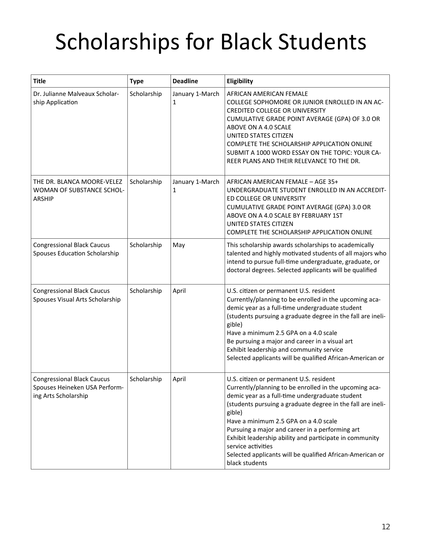| <b>Title</b>                                                                               | <b>Type</b> | <b>Deadline</b>      | Eligibility                                                                                                                                                                                                                                                                                                                                                                                                                                                                               |
|--------------------------------------------------------------------------------------------|-------------|----------------------|-------------------------------------------------------------------------------------------------------------------------------------------------------------------------------------------------------------------------------------------------------------------------------------------------------------------------------------------------------------------------------------------------------------------------------------------------------------------------------------------|
| Dr. Julianne Malveaux Scholar-<br>ship Application                                         | Scholarship | January 1-March<br>1 | AFRICAN AMERICAN FEMALE<br>COLLEGE SOPHOMORE OR JUNIOR ENROLLED IN AN AC-<br><b>CREDITED COLLEGE OR UNIVERSITY</b><br>CUMULATIVE GRADE POINT AVERAGE (GPA) OF 3.0 OR<br>ABOVE ON A 4.0 SCALE<br><b>UNITED STATES CITIZEN</b><br>COMPLETE THE SCHOLARSHIP APPLICATION ONLINE<br>SUBMIT A 1000 WORD ESSAY ON THE TOPIC: YOUR CA-<br>REER PLANS AND THEIR RELEVANCE TO THE DR.                                                                                                               |
| THE DR. BLANCA MOORE-VELEZ<br>WOMAN OF SUBSTANCE SCHOL-<br><b>ARSHIP</b>                   | Scholarship | January 1-March<br>1 | AFRICAN AMERICAN FEMALE - AGE 35+<br>UNDERGRADUATE STUDENT ENROLLED IN AN ACCREDIT-<br>ED COLLEGE OR UNIVERSITY<br>CUMULATIVE GRADE POINT AVERAGE (GPA) 3.0 OR<br>ABOVE ON A 4.0 SCALE BY FEBRUARY 1ST<br>UNITED STATES CITIZEN<br>COMPLETE THE SCHOLARSHIP APPLICATION ONLINE                                                                                                                                                                                                            |
| <b>Congressional Black Caucus</b><br>Spouses Education Scholarship                         | Scholarship | May                  | This scholarship awards scholarships to academically<br>talented and highly motivated students of all majors who<br>intend to pursue full-time undergraduate, graduate, or<br>doctoral degrees. Selected applicants will be qualified                                                                                                                                                                                                                                                     |
| <b>Congressional Black Caucus</b><br>Spouses Visual Arts Scholarship                       | Scholarship | April                | U.S. citizen or permanent U.S. resident<br>Currently/planning to be enrolled in the upcoming aca-<br>demic year as a full-time undergraduate student<br>(students pursuing a graduate degree in the fall are ineli-<br>gible)<br>Have a minimum 2.5 GPA on a 4.0 scale<br>Be pursuing a major and career in a visual art<br>Exhibit leadership and community service<br>Selected applicants will be qualified African-American or                                                         |
| <b>Congressional Black Caucus</b><br>Spouses Heineken USA Perform-<br>ing Arts Scholarship | Scholarship | April                | U.S. citizen or permanent U.S. resident<br>Currently/planning to be enrolled in the upcoming aca-<br>demic year as a full-time undergraduate student<br>(students pursuing a graduate degree in the fall are ineli-<br>gible)<br>Have a minimum 2.5 GPA on a 4.0 scale<br>Pursuing a major and career in a performing art<br>Exhibit leadership ability and participate in community<br>service activities<br>Selected applicants will be qualified African-American or<br>black students |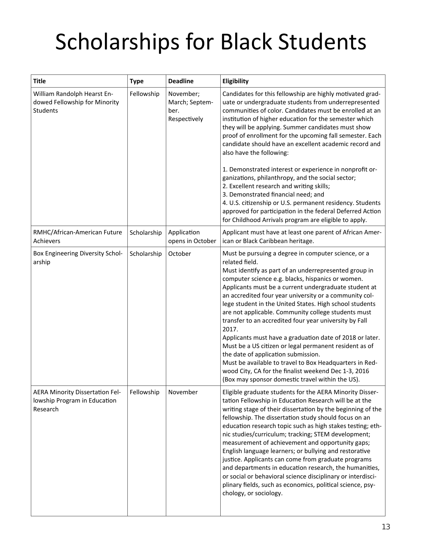| <b>Title</b>                                                                    | <b>Type</b> | <b>Deadline</b>                                     | Eligibility                                                                                                                                                                                                                                                                                                                                                                                                                                                                                                                                                                                                                                                                                                                                                                                                                           |
|---------------------------------------------------------------------------------|-------------|-----------------------------------------------------|---------------------------------------------------------------------------------------------------------------------------------------------------------------------------------------------------------------------------------------------------------------------------------------------------------------------------------------------------------------------------------------------------------------------------------------------------------------------------------------------------------------------------------------------------------------------------------------------------------------------------------------------------------------------------------------------------------------------------------------------------------------------------------------------------------------------------------------|
| William Randolph Hearst En-<br>dowed Fellowship for Minority<br><b>Students</b> | Fellowship  | November;<br>March; Septem-<br>ber.<br>Respectively | Candidates for this fellowship are highly motivated grad-<br>uate or undergraduate students from underrepresented<br>communities of color. Candidates must be enrolled at an<br>institution of higher education for the semester which<br>they will be applying. Summer candidates must show<br>proof of enrollment for the upcoming fall semester. Each<br>candidate should have an excellent academic record and<br>also have the following:<br>1. Demonstrated interest or experience in nonprofit or-<br>ganizations, philanthropy, and the social sector;<br>2. Excellent research and writing skills;<br>3. Demonstrated financial need; and<br>4. U.S. citizenship or U.S. permanent residency. Students<br>approved for participation in the federal Deferred Action<br>for Childhood Arrivals program are eligible to apply. |
| RMHC/African-American Future<br>Achievers                                       | Scholarship | Application<br>opens in October                     | Applicant must have at least one parent of African Amer-<br>ican or Black Caribbean heritage.                                                                                                                                                                                                                                                                                                                                                                                                                                                                                                                                                                                                                                                                                                                                         |
| Box Engineering Diversity Schol-<br>arship                                      | Scholarship | October                                             | Must be pursuing a degree in computer science, or a<br>related field.<br>Must identify as part of an underrepresented group in<br>computer science e.g. blacks, hispanics or women.<br>Applicants must be a current undergraduate student at<br>an accredited four year university or a community col-<br>lege student in the United States. High school students<br>are not applicable. Community college students must<br>transfer to an accredited four year university by Fall<br>2017.<br>Applicants must have a graduation date of 2018 or later.<br>Must be a US citizen or legal permanent resident as of<br>the date of application submission.<br>Must be available to travel to Box Headquarters in Red-<br>wood City, CA for the finalist weekend Dec 1-3, 2016<br>(Box may sponsor domestic travel within the US).       |
| AERA Minority Dissertation Fel-<br>lowship Program in Education<br>Research     | Fellowship  | November                                            | Eligible graduate students for the AERA Minority Disser-<br>tation Fellowship in Education Research will be at the<br>writing stage of their dissertation by the beginning of the<br>fellowship. The dissertation study should focus on an<br>education research topic such as high stakes testing; eth-<br>nic studies/curriculum; tracking; STEM development;<br>measurement of achievement and opportunity gaps;<br>English language learners; or bullying and restorative<br>justice. Applicants can come from graduate programs<br>and departments in education research, the humanities,<br>or social or behavioral science disciplinary or interdisci-<br>plinary fields, such as economics, political science, psy-<br>chology, or sociology.                                                                                 |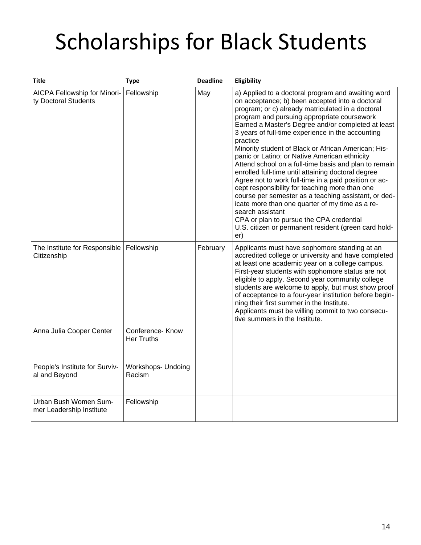| <b>Title</b>                                         | <b>Type</b>                           | <b>Deadline</b> | Eligibility                                                                                                                                                                                                                                                                                                                                                                                                                                                                                                                                                                                                                                                                                                                                                                                                                                                                                                  |
|------------------------------------------------------|---------------------------------------|-----------------|--------------------------------------------------------------------------------------------------------------------------------------------------------------------------------------------------------------------------------------------------------------------------------------------------------------------------------------------------------------------------------------------------------------------------------------------------------------------------------------------------------------------------------------------------------------------------------------------------------------------------------------------------------------------------------------------------------------------------------------------------------------------------------------------------------------------------------------------------------------------------------------------------------------|
| AICPA Fellowship for Minori-<br>ty Doctoral Students | Fellowship                            | May             | a) Applied to a doctoral program and awaiting word<br>on acceptance; b) been accepted into a doctoral<br>program; or c) already matriculated in a doctoral<br>program and pursuing appropriate coursework<br>Earned a Master's Degree and/or completed at least<br>3 years of full-time experience in the accounting<br>practice<br>Minority student of Black or African American; His-<br>panic or Latino; or Native American ethnicity<br>Attend school on a full-time basis and plan to remain<br>enrolled full-time until attaining doctoral degree<br>Agree not to work full-time in a paid position or ac-<br>cept responsibility for teaching more than one<br>course per semester as a teaching assistant, or ded-<br>icate more than one quarter of my time as a re-<br>search assistant<br>CPA or plan to pursue the CPA credential<br>U.S. citizen or permanent resident (green card hold-<br>er) |
| The Institute for Responsible<br>Citizenship         | Fellowship                            | February        | Applicants must have sophomore standing at an<br>accredited college or university and have completed<br>at least one academic year on a college campus.<br>First-year students with sophomore status are not<br>eligible to apply. Second year community college<br>students are welcome to apply, but must show proof<br>of acceptance to a four-year institution before begin-<br>ning their first summer in the Institute.<br>Applicants must be willing commit to two consecu-<br>tive summers in the Institute.                                                                                                                                                                                                                                                                                                                                                                                         |
| Anna Julia Cooper Center                             | Conference- Know<br><b>Her Truths</b> |                 |                                                                                                                                                                                                                                                                                                                                                                                                                                                                                                                                                                                                                                                                                                                                                                                                                                                                                                              |
| People's Institute for Surviv-<br>al and Beyond      | <b>Workshops- Undoing</b><br>Racism   |                 |                                                                                                                                                                                                                                                                                                                                                                                                                                                                                                                                                                                                                                                                                                                                                                                                                                                                                                              |
| Urban Bush Women Sum-<br>mer Leadership Institute    | Fellowship                            |                 |                                                                                                                                                                                                                                                                                                                                                                                                                                                                                                                                                                                                                                                                                                                                                                                                                                                                                                              |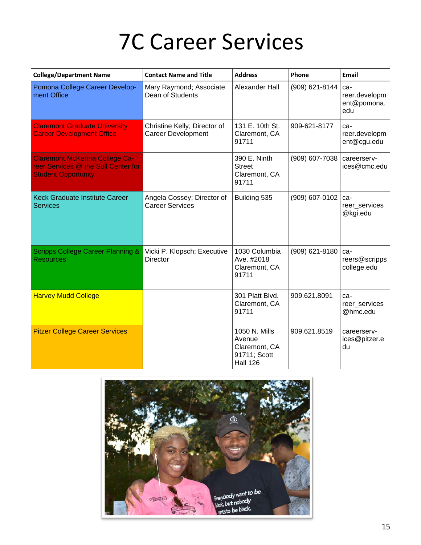### 7C Career Services

| <b>College/Department Name</b>                                                                            | <b>Contact Name and Title</b>                             | <b>Address</b>                                                              | Phone          | Email                                      |
|-----------------------------------------------------------------------------------------------------------|-----------------------------------------------------------|-----------------------------------------------------------------------------|----------------|--------------------------------------------|
| Pomona College Career Develop-<br>ment Office                                                             | Mary Raymond; Associate<br>Dean of Students               | Alexander Hall                                                              | (909) 621-8144 | ca-<br>reer.developm<br>ent@pomona.<br>edu |
| <b>Claremont Graduate University</b><br><b>Career Development Office</b>                                  | Christine Kelly; Director of<br><b>Career Development</b> | 131 E. 10th St.<br>Claremont, CA<br>91711                                   | 909-621-8177   | ca-<br>reer.developm<br>ent@cgu.edu        |
| <b>Claremont McKenna College Ca-</b><br>reer Services @ the Soll Center for<br><b>Student Opportunity</b> |                                                           | 390 E. Ninth<br><b>Street</b><br>Claremont, CA<br>91711                     | (909) 607-7038 | careerserv-<br>ices@cmc.edu                |
| <b>Keck Graduate Institute Career</b><br><b>Services</b>                                                  | Angela Cossey; Director of<br>Career Services             | Building 535                                                                | (909) 607-0102 | ca-<br>reer_services<br>@kgi.edu           |
| <b>Scripps College Career Planning &amp;</b><br><b>Resources</b>                                          | Vicki P. Klopsch; Executive<br><b>Director</b>            | 1030 Columbia<br>Ave. #2018<br>Claremont, CA<br>91711                       | (909) 621-8180 | ca-<br>reers@scripps<br>college.edu        |
| <b>Harvey Mudd College</b>                                                                                |                                                           | 301 Platt Blvd.<br>Claremont, CA<br>91711                                   | 909.621.8091   | ca-<br>reer_services<br>@hmc.edu           |
| <b>Pitzer College Career Services</b>                                                                     |                                                           | 1050 N. Mills<br>Avenue<br>Claremont, CA<br>91711; Scott<br><b>Hall 126</b> | 909.621.8519   | careerserv-<br>ices@pitzer.e<br>du         |

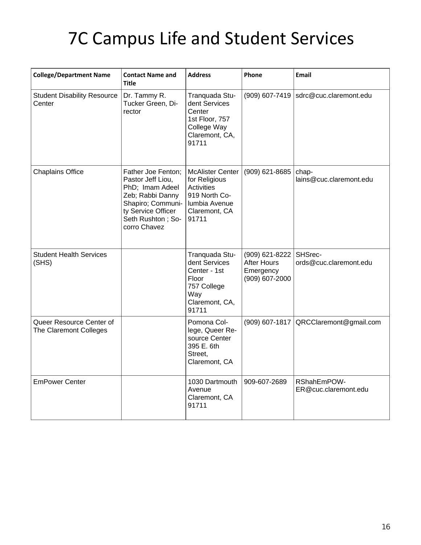### 7C Campus Life and Student Services

| <b>College/Department Name</b>                     | <b>Contact Name and</b><br>Title                                                                                                                               | <b>Address</b>                                                                                                            | Phone                                                               | Email                               |
|----------------------------------------------------|----------------------------------------------------------------------------------------------------------------------------------------------------------------|---------------------------------------------------------------------------------------------------------------------------|---------------------------------------------------------------------|-------------------------------------|
| <b>Student Disability Resource</b><br>Center       | Dr. Tammy R.<br>Tucker Green, Di-<br>rector                                                                                                                    | Tranquada Stu-<br>dent Services<br>Center<br>1st Floor, 757<br>College Way<br>Claremont, CA,<br>91711                     | (909) 607-7419                                                      | sdrc@cuc.claremont.edu              |
| <b>Chaplains Office</b>                            | Father Joe Fenton;<br>Pastor Jeff Liou,<br>PhD; Imam Adeel<br>Zeb; Rabbi Danny<br>Shapiro; Communi-<br>ty Service Officer<br>Seth Rushton; So-<br>corro Chavez | <b>McAlister Center</b><br>for Religious<br><b>Activities</b><br>919 North Co-<br>lumbia Avenue<br>Claremont, CA<br>91711 | (909) 621-8685                                                      | chap-<br>lains@cuc.claremont.edu    |
| <b>Student Health Services</b><br>(SHS)            |                                                                                                                                                                | Tranquada Stu-<br>dent Services<br>Center - 1st<br>Floor<br>757 College<br>Way<br>Claremont, CA,<br>91711                 | (909) 621-8222<br><b>After Hours</b><br>Emergency<br>(909) 607-2000 | SHSrec-<br>ords@cuc.claremont.edu   |
| Queer Resource Center of<br>The Claremont Colleges |                                                                                                                                                                | Pomona Col-<br>lege, Queer Re-<br>source Center<br>395 E. 6th<br>Street,<br>Claremont, CA                                 | $(909)$ 607-1817                                                    | QRCClaremont@gmail.com              |
| <b>EmPower Center</b>                              |                                                                                                                                                                | 1030 Dartmouth<br>Avenue<br>Claremont, CA<br>91711                                                                        | 909-607-2689                                                        | RShahEmPOW-<br>ER@cuc.claremont.edu |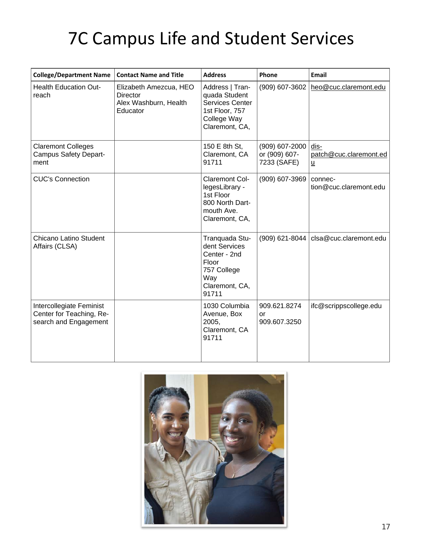### 7C Campus Life and Student Services

| <b>College/Department Name</b>                                                | <b>Contact Name and Title</b>                                                  | <b>Address</b>                                                                                            | Phone                                          | <b>Email</b>                                               |
|-------------------------------------------------------------------------------|--------------------------------------------------------------------------------|-----------------------------------------------------------------------------------------------------------|------------------------------------------------|------------------------------------------------------------|
| <b>Health Education Out-</b><br>reach                                         | Elizabeth Amezcua, HEO<br><b>Director</b><br>Alex Washburn, Health<br>Educator | Address   Tran-<br>quada Student<br>Services Center<br>1st Floor, 757<br>College Way<br>Claremont, CA,    | (909) 607-3602                                 | heo@cuc.claremont.edu                                      |
| <b>Claremont Colleges</b><br><b>Campus Safety Depart-</b><br>ment             |                                                                                | 150 E 8th St,<br>Claremont, CA<br>91711                                                                   | (909) 607-2000<br>or (909) 607-<br>7233 (SAFE) | dis-<br>patch@cuc.claremont.ed<br>$\underline{\mathsf{u}}$ |
| <b>CUC's Connection</b>                                                       |                                                                                | Claremont Col-<br>legesLibrary -<br>1st Floor<br>800 North Dart-<br>mouth Ave.<br>Claremont, CA,          | (909) 607-3969                                 | connec-<br>tion@cuc.claremont.edu                          |
| <b>Chicano Latino Student</b><br>Affairs (CLSA)                               |                                                                                | Tranquada Stu-<br>dent Services<br>Center - 2nd<br>Floor<br>757 College<br>Way<br>Claremont, CA,<br>91711 |                                                | $(909)$ 621-8044   clsa@cuc.claremont.edu                  |
| Intercollegiate Feminist<br>Center for Teaching, Re-<br>search and Engagement |                                                                                | 1030 Columbia<br>Avenue, Box<br>2005,<br>Claremont, CA<br>91711                                           | 909.621.8274<br>or<br>909.607.3250             | ifc@scrippscollege.edu                                     |

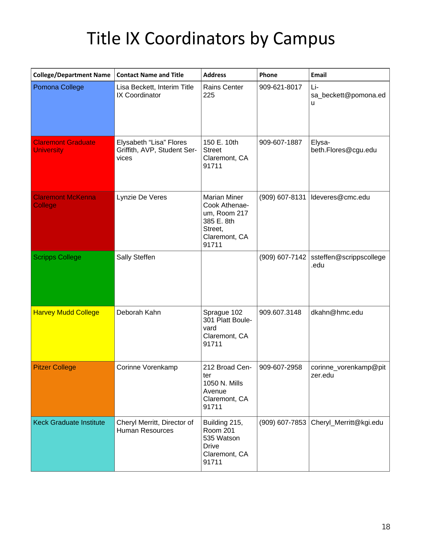### Title IX Coordinators by Campus

| <b>College/Department Name</b>                 | <b>Contact Name and Title</b>                                   | <b>Address</b>                                                                                          | Phone            | Email                                            |
|------------------------------------------------|-----------------------------------------------------------------|---------------------------------------------------------------------------------------------------------|------------------|--------------------------------------------------|
| Pomona College                                 | Lisa Beckett, Interim Title<br>IX Coordinator                   | <b>Rains Center</b><br>225                                                                              | 909-621-8017     | Li-<br>sa_beckett@pomona.ed<br>u                 |
| <b>Claremont Graduate</b><br><b>University</b> | Elysabeth "Lisa" Flores<br>Griffith, AVP, Student Ser-<br>vices | 150 E. 10th<br><b>Street</b><br>Claremont, CA<br>91711                                                  | 909-607-1887     | Elysa-<br>beth.Flores@cgu.edu                    |
| <b>Claremont McKenna</b><br><b>College</b>     | Lynzie De Veres                                                 | <b>Marian Miner</b><br>Cook Athenae-<br>um, Room 217<br>385 E. 8th<br>Street,<br>Claremont, CA<br>91711 | $(909)$ 607-8131 | Ideveres@cmc.edu                                 |
| <b>Scripps College</b>                         | Sally Steffen                                                   |                                                                                                         |                  | $(909)$ 607-7142 ssteffen@scrippscollege<br>.edu |
| <b>Harvey Mudd College</b>                     | Deborah Kahn                                                    | Sprague 102<br>301 Platt Boule-<br>vard<br>Claremont, CA<br>91711                                       | 909.607.3148     | dkahn@hmc.edu                                    |
| <b>Pitzer College</b>                          | Corinne Vorenkamp                                               | 212 Broad Cen-<br>ter<br>1050 N. Mills<br>Avenue<br>Claremont, CA<br>91711                              | 909-607-2958     | corinne_vorenkamp@pit<br>zer.edu                 |
| <b>Keck Graduate Institute</b>                 | Cheryl Merritt, Director of<br><b>Human Resources</b>           | Building 215,<br><b>Room 201</b><br>535 Watson<br><b>Drive</b><br>Claremont, CA<br>91711                |                  | $(909)$ 607-7853 Cheryl_Merritt@kgi.edu          |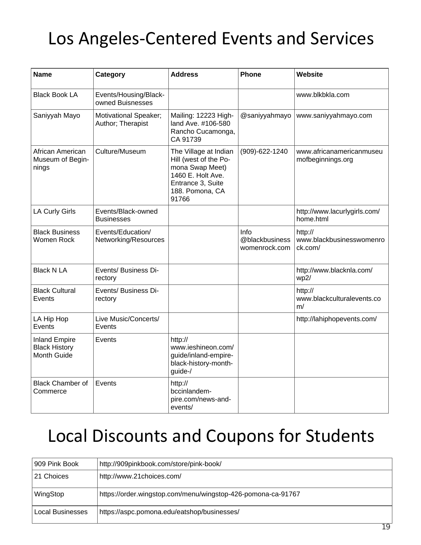#### Los Angeles‐Centered Events and Services

| <b>Name</b>                                                        | Category                                   | <b>Address</b>                                                                                                                          | <b>Phone</b>                            | Website                                        |
|--------------------------------------------------------------------|--------------------------------------------|-----------------------------------------------------------------------------------------------------------------------------------------|-----------------------------------------|------------------------------------------------|
| <b>Black Book LA</b>                                               | Events/Housing/Black-<br>owned Buisnesses  |                                                                                                                                         |                                         | www.blkbkla.com                                |
| Saniyyah Mayo                                                      | Motivational Speaker;<br>Author; Therapist | Mailing: 12223 High-<br>land Ave. #106-580<br>Rancho Cucamonga,<br>CA 91739                                                             | @saniyyahmayo                           | www.saniyyahmayo.com                           |
| African American<br>Museum of Begin-<br>nings                      | Culture/Museum                             | The Village at Indian<br>Hill (west of the Po-<br>mona Swap Meet)<br>1460 E. Holt Ave.<br>Entrance 3, Suite<br>188. Pomona, CA<br>91766 | (909)-622-1240                          | www.africanamericanmuseu<br>mofbeginnings.org  |
| <b>LA Curly Girls</b>                                              | Events/Black-owned<br>Businesses           |                                                                                                                                         |                                         | http://www.lacurlygirls.com/<br>home.html      |
| <b>Black Business</b><br>Women Rock                                | Events/Education/<br>Networking/Resources  |                                                                                                                                         | Info<br>@blackbusiness<br>womenrock.com | http://<br>www.blackbusinesswomenro<br>ck.com/ |
| <b>Black N LA</b>                                                  | Events/ Business Di-<br>rectory            |                                                                                                                                         |                                         | http://www.blacknla.com/<br>wp2/               |
| <b>Black Cultural</b><br>Events                                    | Events/ Business Di-<br>rectory            |                                                                                                                                         |                                         | http://<br>www.blackculturalevents.co<br>m/    |
| LA Hip Hop<br>Events                                               | Live Music/Concerts/<br>Events             |                                                                                                                                         |                                         | http://lahiphopevents.com/                     |
| <b>Inland Empire</b><br><b>Black History</b><br><b>Month Guide</b> | Events                                     | http://<br>www.ieshineon.com/<br>guide/inland-empire-<br>black-history-month-<br>guide-/                                                |                                         |                                                |
| <b>Black Chamber of</b><br>Commerce                                | Events                                     | http://<br>bccinlandem-<br>pire.com/news-and-<br>events/                                                                                |                                         |                                                |

#### Local Discounts and Coupons for Students

| 909 Pink Book    | http://909pinkbook.com/store/pink-book/                      |
|------------------|--------------------------------------------------------------|
| 21 Choices       | http://www.21choices.com/                                    |
| WingStop         | https://order.wingstop.com/menu/wingstop-426-pomona-ca-91767 |
| Local Businesses | https://aspc.pomona.edu/eatshop/businesses/                  |
|                  | 19                                                           |